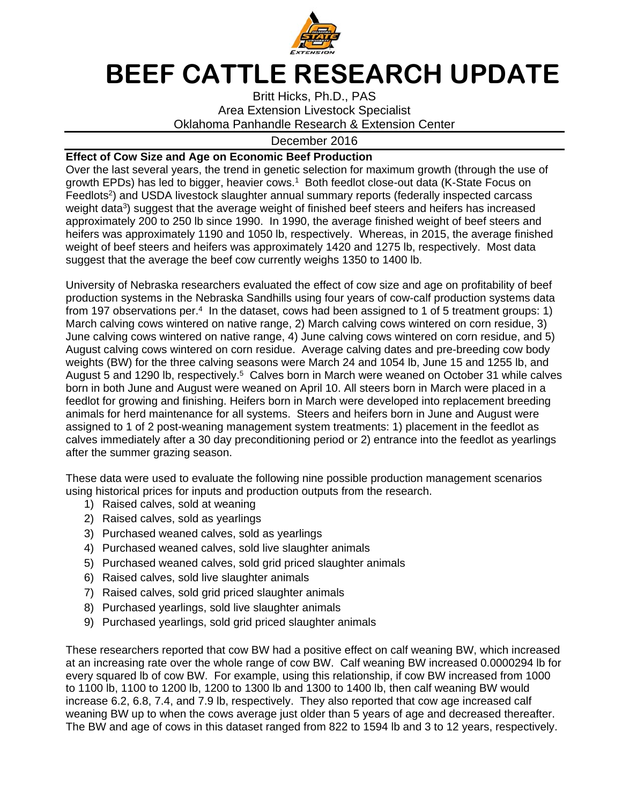

## **BEEF CATTLE RESEARCH UPDATE**

Britt Hicks, Ph.D., PAS Area Extension Livestock Specialist Oklahoma Panhandle Research & Extension Center

## December 2016

## **Effect of Cow Size and Age on Economic Beef Production**

Over the last several years, the trend in genetic selection for maximum growth (through the use of growth EPDs) has led to bigger, heavier cows.<sup>1</sup> Both feedlot close-out data (K-State Focus on Feedlots<sup>2</sup>) and USDA livestock slaughter annual summary reports (federally inspected carcass weight data<sup>3</sup>) suggest that the average weight of finished beef steers and heifers has increased approximately 200 to 250 lb since 1990. In 1990, the average finished weight of beef steers and heifers was approximately 1190 and 1050 lb, respectively. Whereas, in 2015, the average finished weight of beef steers and heifers was approximately 1420 and 1275 lb, respectively. Most data suggest that the average the beef cow currently weighs 1350 to 1400 lb.

University of Nebraska researchers evaluated the effect of cow size and age on profitability of beef production systems in the Nebraska Sandhills using four years of cow-calf production systems data from 197 observations per.<sup>4</sup> In the dataset, cows had been assigned to 1 of 5 treatment groups: 1) March calving cows wintered on native range, 2) March calving cows wintered on corn residue, 3) June calving cows wintered on native range, 4) June calving cows wintered on corn residue, and 5) August calving cows wintered on corn residue. Average calving dates and pre-breeding cow body weights (BW) for the three calving seasons were March 24 and 1054 lb, June 15 and 1255 lb, and August 5 and 1290 lb, respectively.<sup>5</sup> Calves born in March were weaned on October 31 while calves born in both June and August were weaned on April 10. All steers born in March were placed in a feedlot for growing and finishing. Heifers born in March were developed into replacement breeding animals for herd maintenance for all systems. Steers and heifers born in June and August were assigned to 1 of 2 post-weaning management system treatments: 1) placement in the feedlot as calves immediately after a 30 day preconditioning period or 2) entrance into the feedlot as yearlings after the summer grazing season.

These data were used to evaluate the following nine possible production management scenarios using historical prices for inputs and production outputs from the research.

- 1) Raised calves, sold at weaning
- 2) Raised calves, sold as yearlings
- 3) Purchased weaned calves, sold as yearlings
- 4) Purchased weaned calves, sold live slaughter animals
- 5) Purchased weaned calves, sold grid priced slaughter animals
- 6) Raised calves, sold live slaughter animals
- 7) Raised calves, sold grid priced slaughter animals
- 8) Purchased yearlings, sold live slaughter animals
- 9) Purchased yearlings, sold grid priced slaughter animals

These researchers reported that cow BW had a positive effect on calf weaning BW, which increased at an increasing rate over the whole range of cow BW. Calf weaning BW increased 0.0000294 lb for every squared lb of cow BW. For example, using this relationship, if cow BW increased from 1000 to 1100 lb, 1100 to 1200 lb, 1200 to 1300 lb and 1300 to 1400 lb, then calf weaning BW would increase 6.2, 6.8, 7.4, and 7.9 lb, respectively. They also reported that cow age increased calf weaning BW up to when the cows average just older than 5 years of age and decreased thereafter. The BW and age of cows in this dataset ranged from 822 to 1594 lb and 3 to 12 years, respectively.